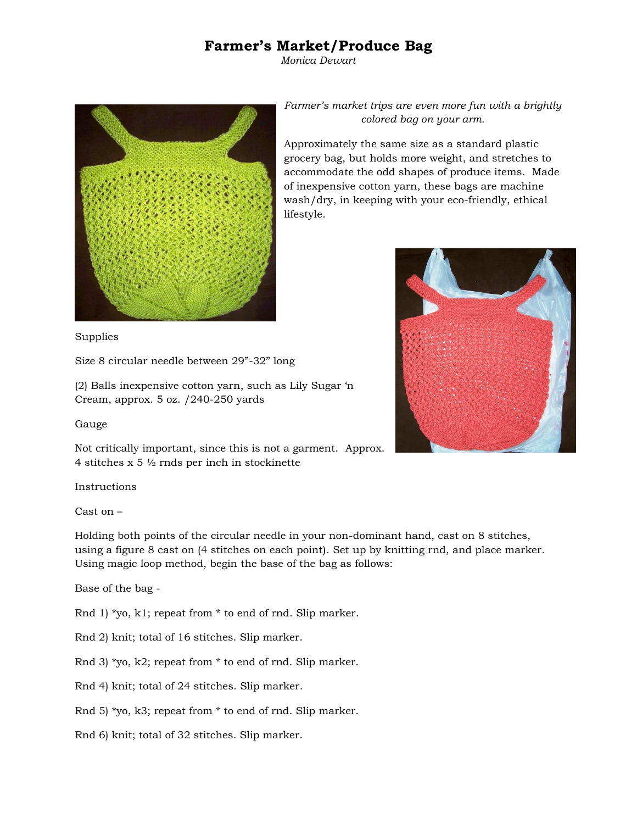## **Farmer's Market/Produce Bag**

*Monica Dewart*



*Farmer's market trips are even more fun with a brightly colored bag on your arm.* 

Approximately the same size as a standard plastic grocery bag, but holds more weight, and stretches to accommodate the odd shapes of produce items. Made of inexpensive cotton yarn, these bags are machine wash/dry, in keeping with your eco-friendly, ethical lifestyle.



Supplies

Size 8 circular needle between 29"-32" long

(2) Balls inexpensive cotton yarn, such as Lily Sugar 'n Cream, approx. 5 oz. /240-250 yards

Gauge

Not critically important, since this is not a garment. Approx. 4 stitches x 5 ½ rnds per inch in stockinette

Instructions

Cast on –

Holding both points of the circular needle in your non-dominant hand, cast on 8 stitches, using a figure 8 cast on (4 stitches on each point). Set up by knitting rnd, and place marker. Using magic loop method, begin the base of the bag as follows:

Base of the bag -

Rnd 1) \*yo, k1; repeat from \* to end of rnd. Slip marker.

Rnd 2) knit; total of 16 stitches. Slip marker.

Rnd 3) \*yo, k2; repeat from \* to end of rnd. Slip marker.

Rnd 4) knit; total of 24 stitches. Slip marker.

Rnd 5) \*yo, k3; repeat from \* to end of rnd. Slip marker.

Rnd 6) knit; total of 32 stitches. Slip marker.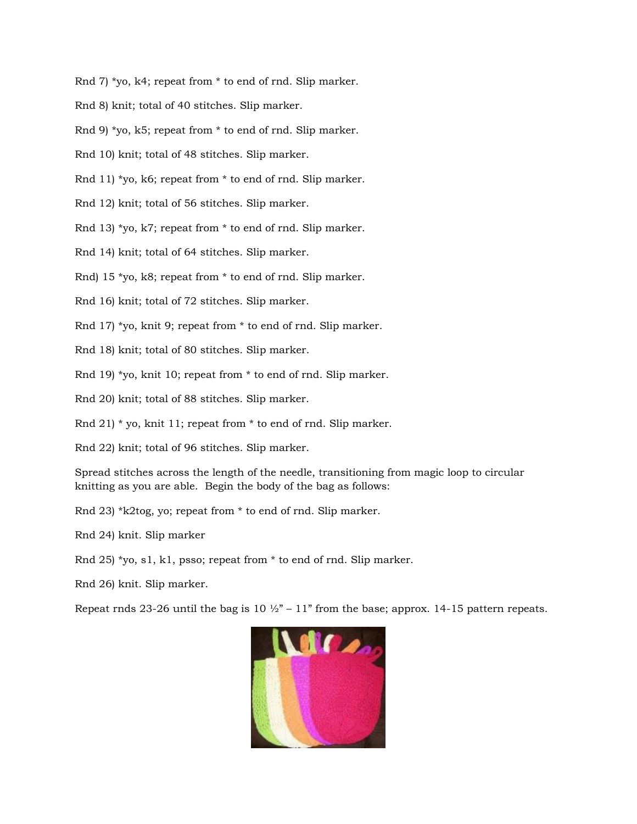Rnd 7) \*yo, k4; repeat from \* to end of rnd. Slip marker.

- Rnd 8) knit; total of 40 stitches. Slip marker.
- Rnd 9) \*yo, k5; repeat from \* to end of rnd. Slip marker.
- Rnd 10) knit; total of 48 stitches. Slip marker.
- Rnd 11) \*yo, k6; repeat from \* to end of rnd. Slip marker.
- Rnd 12) knit; total of 56 stitches. Slip marker.
- Rnd 13) \*yo, k7; repeat from \* to end of rnd. Slip marker.
- Rnd 14) knit; total of 64 stitches. Slip marker.
- Rnd) 15 \*yo, k8; repeat from \* to end of rnd. Slip marker.
- Rnd 16) knit; total of 72 stitches. Slip marker.
- Rnd 17) \*yo, knit 9; repeat from \* to end of rnd. Slip marker.
- Rnd 18) knit; total of 80 stitches. Slip marker.
- Rnd 19) \*yo, knit 10; repeat from \* to end of rnd. Slip marker.
- Rnd 20) knit; total of 88 stitches. Slip marker.
- Rnd 21) \* yo, knit 11; repeat from \* to end of rnd. Slip marker.
- Rnd 22) knit; total of 96 stitches. Slip marker.

Spread stitches across the length of the needle, transitioning from magic loop to circular knitting as you are able. Begin the body of the bag as follows:

- Rnd 23) \*k2tog, yo; repeat from \* to end of rnd. Slip marker.
- Rnd 24) knit. Slip marker
- Rnd 25) \*yo, s1, k1, psso; repeat from \* to end of rnd. Slip marker.
- Rnd 26) knit. Slip marker.

Repeat rnds 23-26 until the bag is 10  $\frac{1}{2}$  – 11" from the base; approx. 14-15 pattern repeats.